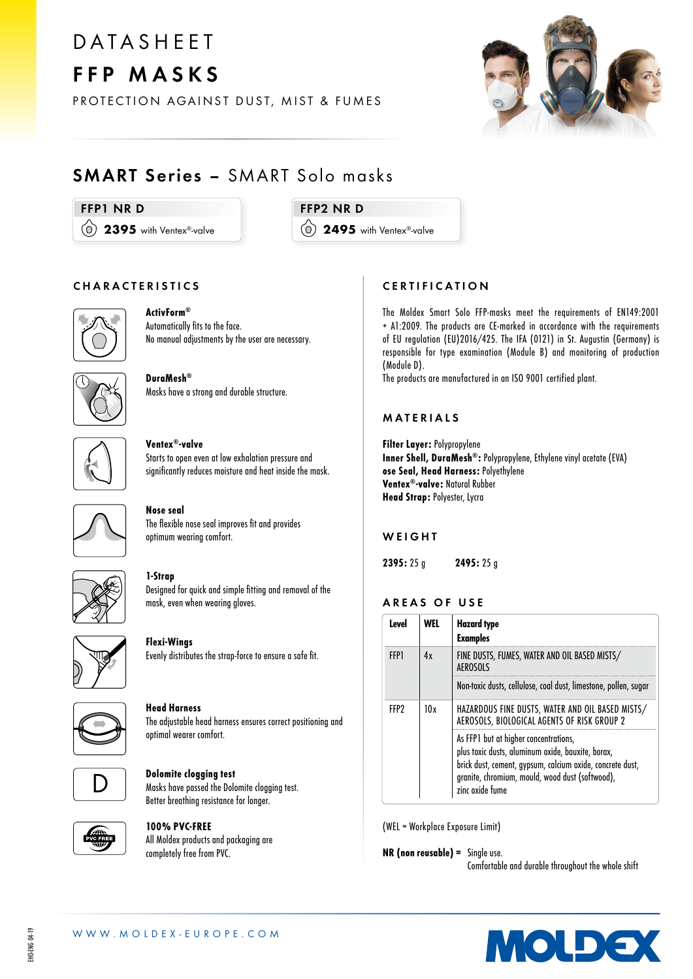## **DATASHEET** FFP MASKS

PROTECTION AGAINST DUST, MIST & FUMES



### SMART Series – SMART Solo masks

#### FFP1 NR D

(0) 2395 with Ventex®-valve

FFP2 NR D

(0) 2495 with Ventex®-valve

#### CHARACTERISTICS



#### ActivForm® Automatically fits to the face.

No manual adjustments by the user are necessary.



DuraMesh® Masks have a strong and durable structure.



Ventex®-valve Starts to open even at low exhalation pressure and significantly reduces moisture and heat inside the mask.



#### Nose seal The flexible nose seal improves fit and provides optimum wearing comfort.



#### 1-Strap Designed for quick and simple fitting and removal of the mask, even when wearing gloves.



Flexi-Wings Evenly distributes the strap-force to ensure a safe fit.



#### Head Harness The adjustable head harness ensures correct positioning and optimal wearer comfort.



#### Dolomite clogging test Masks have passed the Dolomite clogging test. Better breathing resistance for longer.



#### 100% PVC-FREE All Moldex products and packaging are completely free from PVC.

#### **CERTIFICATION**

The Moldex Smart Solo FFP-masks meet the requirements of EN149:2001 + A1:2009. The products are CE-marked in accordance with the requirements of EU regulation (EU)2016/425. The IFA (0121) in St. Augustin (Germany) is responsible for type examination (Module B) and monitoring of production (Module D).

The products are manufactured in an ISO 9001 certified plant.

#### MATERIALS

Filter Layer: Polypropylene Inner Shell, DuraMesh®: Polypropylene, Ethylene vinyl acetate (EVA) ose Seal, Head Harness: Polyethylene Ventex®-valve: Natural Rubber Head Strap: Polyester, Lycra

#### **WEIGHT**

2395: 25 g 2495: 25 g

#### AREAS OF USE

| Level       | WFL | <b>Hazard</b> type<br><b>Examples</b>                                                                                                                                                                                         |  |
|-------------|-----|-------------------------------------------------------------------------------------------------------------------------------------------------------------------------------------------------------------------------------|--|
| <b>FFP1</b> | 4x  | FINE DUSTS, FUMES, WATER AND OIL BASED MISTS/<br>AFROSOLS                                                                                                                                                                     |  |
|             |     | Non-toxic dusts, cellulose, coal dust, limestone, pollen, sugar                                                                                                                                                               |  |
| FFP?        | 10x | HAZARDOUS FINE DUSTS, WATER AND OIL BASED MISTS/<br>AEROSOLS, BIOLOGICAL AGENTS OF RISK GROUP 2                                                                                                                               |  |
|             |     | As FFP1 but at higher concentrations,<br>plus toxic dusts, aluminum oxide, bauxite, borax,<br>brick dust, cement, gypsum, calcium oxide, concrete dust,<br>granite, chromium, mould, wood dust (softwood),<br>zinc oxide fume |  |

(WEL = Workplace Exposure Limit)

NR (non reusable) = Single use.

Comfortable and durable throughout the whole shift